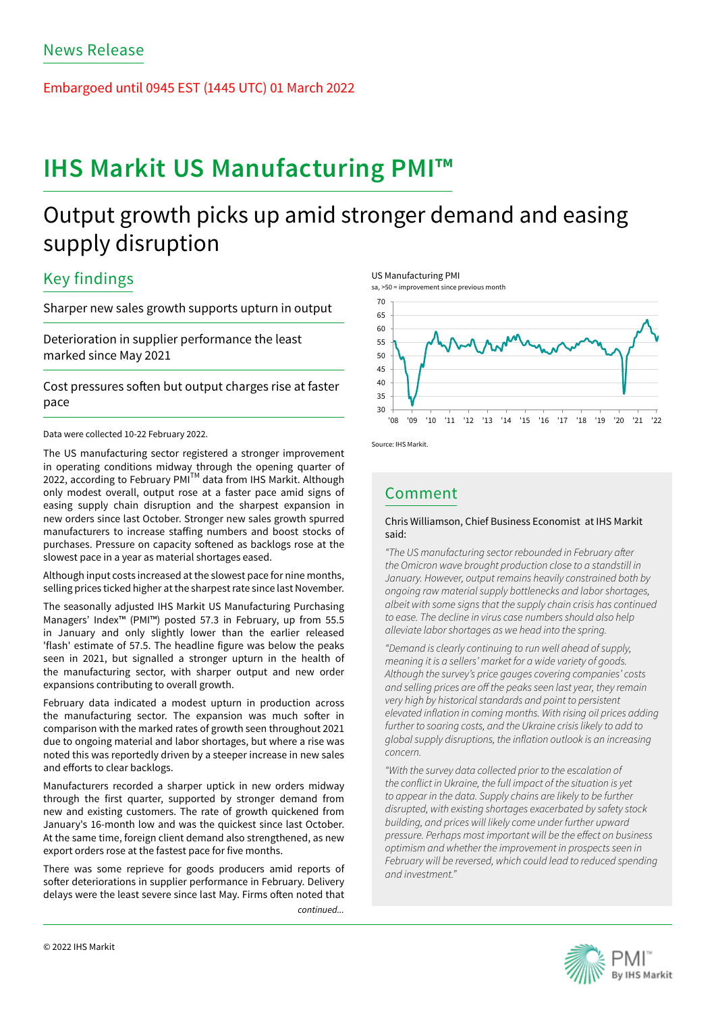Embargoed until 0945 EST (1445 UTC) 01 March 2022

# **IHS Markit US Manufacturing PMI™**

# Output growth picks up amid stronger demand and easing supply disruption

# Key findings

Sharper new sales growth supports upturn in output

Deterioration in supplier performance the least marked since May 2021

Cost pressures soften but output charges rise at faster pace

Data were collected 10-22 February 2022.

The US manufacturing sector registered a stronger improvement in operating conditions midway through the opening quarter of 2022, according to February PMI<sup>™</sup> data from IHS Markit. Although only modest overall, output rose at a faster pace amid signs of easing supply chain disruption and the sharpest expansion in new orders since last October. Stronger new sales growth spurred manufacturers to increase staffing numbers and boost stocks of purchases. Pressure on capacity softened as backlogs rose at the slowest pace in a year as material shortages eased.

Although input costs increased at the slowest pace for nine months, selling prices ticked higher at the sharpest rate since last November.

The seasonally adjusted IHS Markit US Manufacturing Purchasing Managers' Index™ (PMI™) posted 57.3 in February, up from 55.5 in January and only slightly lower than the earlier released 'flash' estimate of 57.5. The headline figure was below the peaks seen in 2021, but signalled a stronger upturn in the health of the manufacturing sector, with sharper output and new order expansions contributing to overall growth.

February data indicated a modest upturn in production across the manufacturing sector. The expansion was much softer in comparison with the marked rates of growth seen throughout 2021 due to ongoing material and labor shortages, but where a rise was noted this was reportedly driven by a steeper increase in new sales and efforts to clear backlogs.

Manufacturers recorded a sharper uptick in new orders midway through the first quarter, supported by stronger demand from new and existing customers. The rate of growth quickened from January's 16-month low and was the quickest since last October. At the same time, foreign client demand also strengthened, as new export orders rose at the fastest pace for five months.

There was some reprieve for goods producers amid reports of softer deteriorations in supplier performance in February. Delivery delays were the least severe since last May. Firms often noted that

*continued...*







Source: IHS Markit.

# Comment

# Chris Williamson, Chief Business Economist at IHS Markit said:

*"The US manufacturing sector rebounded in February after the Omicron wave brought production close to a standstill in January. However, output remains heavily constrained both by ongoing raw material supply bottlenecks and labor shortages, albeit with some signs that the supply chain crisis has continued to ease. The decline in virus case numbers should also help alleviate labor shortages as we head into the spring.* 

*"Demand is clearly continuing to run well ahead of supply, meaning it is a sellers' market for a wide variety of goods. Although the survey's price gauges covering companies' costs and selling prices are off the peaks seen last year, they remain very high by historical standards and point to persistent elevated inflation in coming months. With rising oil prices adding further to soaring costs, and the Ukraine crisis likely to add to global supply disruptions, the inflation outlook is an increasing concern.* 

*"With the survey data collected prior to the escalation of the conflict in Ukraine, the full impact of the situation is yet to appear in the data. Supply chains are likely to be further disrupted, with existing shortages exacerbated by safety stock building, and prices will likely come under further upward pressure. Perhaps most important will be the effect on business optimism and whether the improvement in prospects seen in February will be reversed, which could lead to reduced spending and investment."*